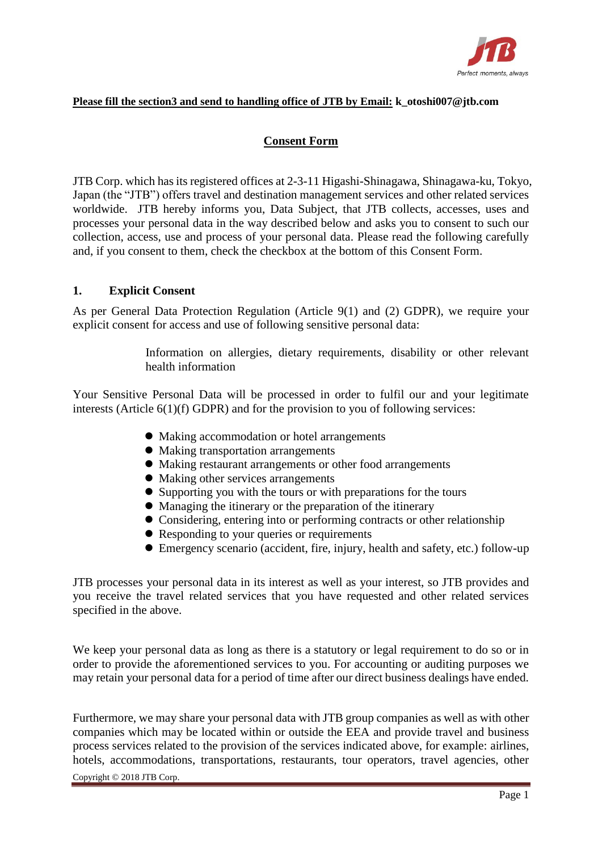

### **Please fill the section3 and send to handling office of JTB by Email: k\_otoshi007@jtb.com**

# **Consent Form**

JTB Corp. which has its registered offices at 2-3-11 Higashi-Shinagawa, Shinagawa-ku, Tokyo, Japan (the "JTB") offers travel and destination management services and other related services worldwide. JTB hereby informs you, Data Subject, that JTB collects, accesses, uses and processes your personal data in the way described below and asks you to consent to such our collection, access, use and process of your personal data. Please read the following carefully and, if you consent to them, check the checkbox at the bottom of this Consent Form.

## **1. Explicit Consent**

As per General Data Protection Regulation (Article 9(1) and (2) GDPR), we require your explicit consent for access and use of following sensitive personal data:

> Information on allergies, dietary requirements, disability or other relevant health information

Your Sensitive Personal Data will be processed in order to fulfil our and your legitimate interests (Article 6(1)(f) GDPR) and for the provision to you of following services:

- ⚫ Making accommodation or hotel arrangements
- ⚫ Making transportation arrangements
- ⚫ Making restaurant arrangements or other food arrangements
- ⚫ Making other services arrangements
- ⚫ Supporting you with the tours or with preparations for the tours
- ⚫ Managing the itinerary or the preparation of the itinerary
- ⚫ Considering, entering into or performing contracts or other relationship
- Responding to your queries or requirements
- ⚫ Emergency scenario (accident, fire, injury, health and safety, etc.) follow-up

JTB processes your personal data in its interest as well as your interest, so JTB provides and you receive the travel related services that you have requested and other related services specified in the above.

We keep your personal data as long as there is a statutory or legal requirement to do so or in order to provide the aforementioned services to you. For accounting or auditing purposes we may retain your personal data for a period of time after our direct business dealings have ended.

Furthermore, we may share your personal data with JTB group companies as well as with other companies which may be located within or outside the EEA and provide travel and business process services related to the provision of the services indicated above, for example: airlines, hotels, accommodations, transportations, restaurants, tour operators, travel agencies, other

Copyright © 2018 JTB Corp.